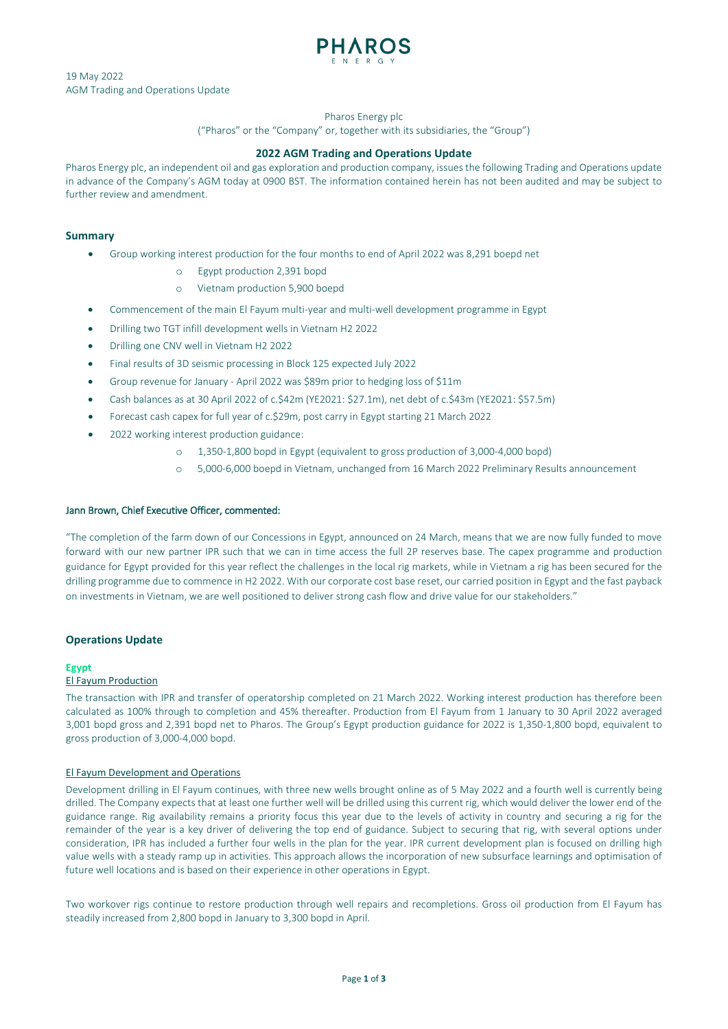

19 May 2022 AGM Trading and Operations Update

## Pharos Energy plc

("Pharos" or the "Company" or, together with its subsidiaries, the "Group")

# **2022 AGM Trading and Operations Update**

Pharos Energy plc, an independent oil and gas exploration and production company, issues the following Trading and Operations update in advance of the Company's AGM today at 0900 BST. The information contained herein has not been audited and may be subject to further review and amendment.

# **Summary**

- Group working interest production for the four months to end of April 2022 was 8,291 boepd net
	- o Egypt production 2,391 bopd
	- o Vietnam production 5,900 boepd
- Commencement of the main El Fayum multi-year and multi-well development programme in Egypt
- Drilling two TGT infill development wells in Vietnam H2 2022
- Drilling one CNV well in Vietnam H2 2022
- Final results of 3D seismic processing in Block 125 expected July 2022
- Group revenue for January April 2022 was \$89m prior to hedging loss of \$11m
- Cash balances as at 30 April 2022 of c.\$42m (YE2021: \$27.1m), net debt of c.\$43m (YE2021: \$57.5m)
- Forecast cash capex for full year of c.\$29m, post carry in Egypt starting 21 March 2022
- 2022 working interest production guidance:
	- o 1,350-1,800 bopd in Egypt (equivalent to gross production of 3,000-4,000 bopd)
	- o 5,000-6,000 boepd in Vietnam, unchanged from 16 March 2022 Preliminary Results announcement

# Jann Brown, Chief Executive Officer, commented:

"The completion of the farm down of our Concessions in Egypt, announced on 24 March, means that we are now fully funded to move forward with our new partner IPR such that we can in time access the full 2P reserves base. The capex programme and production guidance for Egypt provided for this year reflect the challenges in the local rig markets, while in Vietnam a rig has been secured for the drilling programme due to commence in H2 2022. With our corporate cost base reset, our carried position in Egypt and the fast payback on investments in Vietnam, we are well positioned to deliver strong cash flow and drive value for our stakeholders."

# **Operations Update**

# **Egypt**

# El Fayum Production

The transaction with IPR and transfer of operatorship completed on 21 March 2022. Working interest production has therefore been calculated as 100% through to completion and 45% thereafter. Production from El Fayum from 1 January to 30 April 2022 averaged 3,001 bopd gross and 2,391 bopd net to Pharos. The Group's Egypt production guidance for 2022 is 1,350-1,800 bopd, equivalent to gross production of 3,000-4,000 bopd.

# El Fayum Development and Operations

Development drilling in El Fayum continues, with three new wells brought online as of 5 May 2022 and a fourth well is currently being drilled. The Company expects that at least one further well will be drilled using this current rig, which would deliver the lower end of the guidance range. Rig availability remains a priority focus this year due to the levels of activity in country and securing a rig for the remainder of the year is a key driver of delivering the top end of guidance. Subject to securing that rig, with several options under consideration, IPR has included a further four wells in the plan for the year. IPR current development plan is focused on drilling high value wells with a steady ramp up in activities. This approach allows the incorporation of new subsurface learnings and optimisation of future well locations and is based on their experience in other operations in Egypt.

Two workover rigs continue to restore production through well repairs and recompletions. Gross oil production from El Fayum has steadily increased from 2,800 bopd in January to 3,300 bopd in April.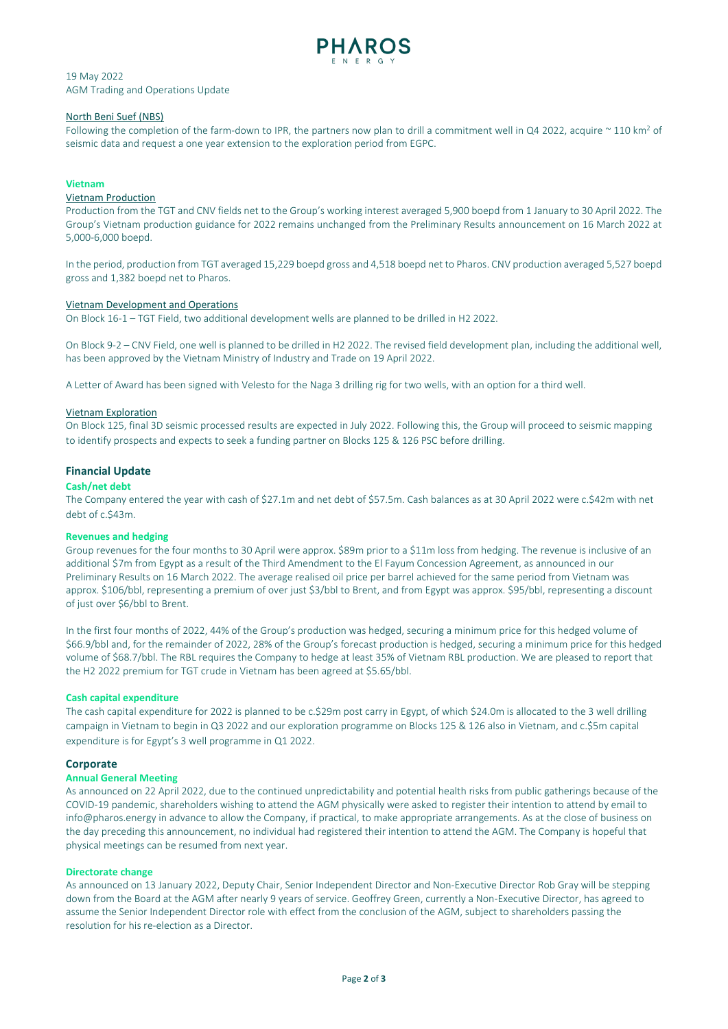

# 19 May 2022 AGM Trading and Operations Update

#### North Beni Suef (NBS)

Following the completion of the farm-down to IPR, the partners now plan to drill a commitment well in Q4 2022, acquire  $\sim$  110 km<sup>2</sup> of seismic data and request a one year extension to the exploration period from EGPC.

#### **Vietnam**

# Vietnam Production

Production from the TGT and CNV fields net to the Group's working interest averaged 5,900 boepd from 1 January to 30 April 2022. The Group's Vietnam production guidance for 2022 remains unchanged from the Preliminary Results announcement on 16 March 2022 at 5,000-6,000 boepd.

In the period, production from TGT averaged 15,229 boepd gross and 4,518 boepd net to Pharos. CNV production averaged 5,527 boepd gross and 1,382 boepd net to Pharos.

#### Vietnam Development and Operations

On Block 16-1 – TGT Field, two additional development wells are planned to be drilled in H2 2022.

On Block 9-2 – CNV Field, one well is planned to be drilled in H2 2022. The revised field development plan, including the additional well, has been approved by the Vietnam Ministry of Industry and Trade on 19 April 2022.

A Letter of Award has been signed with Velesto for the Naga 3 drilling rig for two wells, with an option for a third well.

#### Vietnam Exploration

On Block 125, final 3D seismic processed results are expected in July 2022. Following this, the Group will proceed to seismic mapping to identify prospects and expects to seek a funding partner on Blocks 125 & 126 PSC before drilling.

## **Financial Update**

#### **Cash/net debt**

The Company entered the year with cash of \$27.1m and net debt of \$57.5m. Cash balances as at 30 April 2022 were c.\$42m with net debt of c.\$43m.

#### **Revenues and hedging**

Group revenues for the four months to 30 April were approx. \$89m prior to a \$11m loss from hedging. The revenue is inclusive of an additional \$7m from Egypt as a result of the Third Amendment to the El Fayum Concession Agreement, as announced in our Preliminary Results on 16 March 2022. The average realised oil price per barrel achieved for the same period from Vietnam was approx. \$106/bbl, representing a premium of over just \$3/bbl to Brent, and from Egypt was approx. \$95/bbl, representing a discount of just over \$6/bbl to Brent.

In the first four months of 2022, 44% of the Group's production was hedged, securing a minimum price for this hedged volume of \$66.9/bbl and, for the remainder of 2022, 28% of the Group's forecast production is hedged, securing a minimum price for this hedged volume of \$68.7/bbl. The RBL requires the Company to hedge at least 35% of Vietnam RBL production. We are pleased to report that the H2 2022 premium for TGT crude in Vietnam has been agreed at \$5.65/bbl.

#### **Cash capital expenditure**

The cash capital expenditure for 2022 is planned to be c.\$29m post carry in Egypt, of which \$24.0m is allocated to the 3 well drilling campaign in Vietnam to begin in Q3 2022 and our exploration programme on Blocks 125 & 126 also in Vietnam, and c.\$5m capital expenditure is for Egypt's 3 well programme in Q1 2022.

#### **Corporate**

#### **Annual General Meeting**

As announced on 22 April 2022, due to the continued unpredictability and potential health risks from public gatherings because of the COVID-19 pandemic, shareholders wishing to attend the AGM physically were asked to register their intention to attend by email to info@pharos.energy in advance to allow the Company, if practical, to make appropriate arrangements. As at the close of business on the day preceding this announcement, no individual had registered their intention to attend the AGM. The Company is hopeful that physical meetings can be resumed from next year.

#### **Directorate change**

As announced on 13 January 2022, Deputy Chair, Senior Independent Director and Non-Executive Director Rob Gray will be stepping down from the Board at the AGM after nearly 9 years of service. Geoffrey Green, currently a Non-Executive Director, has agreed to assume the Senior Independent Director role with effect from the conclusion of the AGM, subject to shareholders passing the resolution for his re-election as a Director.